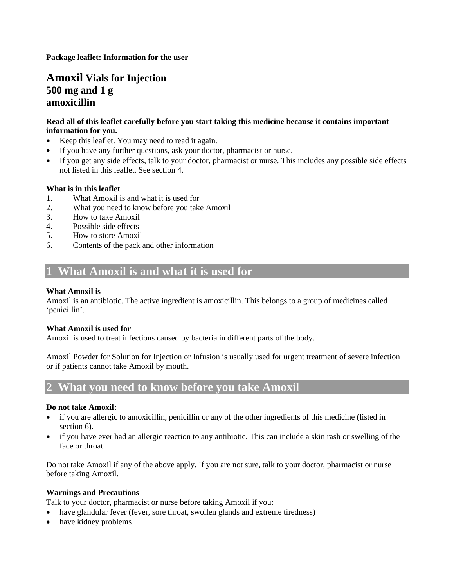**Package leaflet: Information for the user**

## **Amoxil Vials for Injection 500 mg and 1 g amoxicillin**

## **Read all of this leaflet carefully before you start taking this medicine because it contains important information for you.**

- Keep this leaflet. You may need to read it again.
- If you have any further questions, ask your doctor, pharmacist or nurse.
- If you get any side effects, talk to your doctor, pharmacist or nurse. This includes any possible side effects not listed in this leaflet. See section 4.

#### **What is in this leaflet**

- 1. What Amoxil is and what it is used for
- 2. What you need to know before you take Amoxil
- 3. How to take Amoxil
- 4. Possible side effects
- 5. How to store Amoxil
- 6. Contents of the pack and other information

## **1 What Amoxil is and what it is used for**

## **What Amoxil is**

Amoxil is an antibiotic. The active ingredient is amoxicillin. This belongs to a group of medicines called 'penicillin'.

#### **What Amoxil is used for**

Amoxil is used to treat infections caused by bacteria in different parts of the body.

Amoxil Powder for Solution for Injection or Infusion is usually used for urgent treatment of severe infection or if patients cannot take Amoxil by mouth.

## **2 What you need to know before you take Amoxil**

#### **Do not take Amoxil:**

- if you are allergic to amoxicillin, penicillin or any of the other ingredients of this medicine (listed in section 6).
- if you have ever had an allergic reaction to any antibiotic. This can include a skin rash or swelling of the face or throat.

Do not take Amoxil if any of the above apply. If you are not sure, talk to your doctor, pharmacist or nurse before taking Amoxil.

#### **Warnings and Precautions**

Talk to your doctor, pharmacist or nurse before taking Amoxil if you:

- have glandular fever (fever, sore throat, swollen glands and extreme tiredness)
- have kidney problems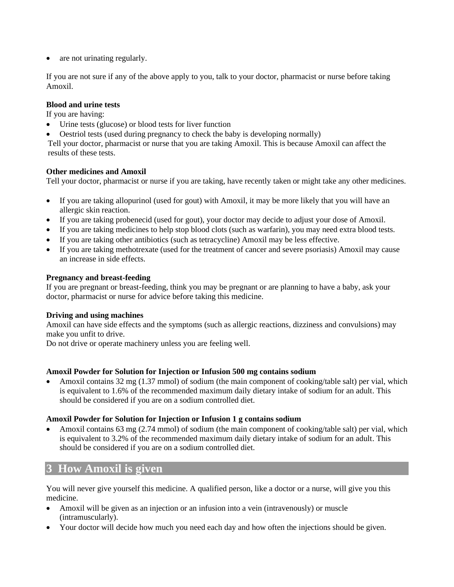• are not urinating regularly.

If you are not sure if any of the above apply to you, talk to your doctor, pharmacist or nurse before taking Amoxil.

#### **Blood and urine tests**

If you are having:

- Urine tests (glucose) or blood tests for liver function
- Oestriol tests (used during pregnancy to check the baby is developing normally)

Tell your doctor, pharmacist or nurse that you are taking Amoxil. This is because Amoxil can affect the results of these tests.

## **Other medicines and Amoxil**

Tell your doctor, pharmacist or nurse if you are taking, have recently taken or might take any other medicines.

- If you are taking allopurinol (used for gout) with Amoxil, it may be more likely that you will have an allergic skin reaction.
- If you are taking probenecid (used for gout), your doctor may decide to adjust your dose of Amoxil.
- If you are taking medicines to help stop blood clots (such as warfarin), you may need extra blood tests.
- If you are taking other antibiotics (such as tetracycline) Amoxil may be less effective.
- If you are taking methotrexate (used for the treatment of cancer and severe psoriasis) Amoxil may cause an increase in side effects.

#### **Pregnancy and breast-feeding**

If you are pregnant or breast-feeding, think you may be pregnant or are planning to have a baby, ask your doctor, pharmacist or nurse for advice before taking this medicine.

#### **Driving and using machines**

Amoxil can have side effects and the symptoms (such as allergic reactions, dizziness and convulsions) may make you unfit to drive.

Do not drive or operate machinery unless you are feeling well.

## **Amoxil Powder for Solution for Injection or Infusion 500 mg contains sodium**

• Amoxil contains 32 mg (1.37 mmol) of sodium (the main component of cooking/table salt) per vial, which is equivalent to 1.6% of the recommended maximum daily dietary intake of sodium for an adult. This should be considered if you are on a sodium controlled diet.

#### **Amoxil Powder for Solution for Injection or Infusion 1 g contains sodium**

• Amoxil contains 63 mg (2.74 mmol) of sodium (the main component of cooking/table salt) per vial, which is equivalent to 3.2% of the recommended maximum daily dietary intake of sodium for an adult. This should be considered if you are on a sodium controlled diet.

## **3 How Amoxil is given**

You will never give yourself this medicine. A qualified person, like a doctor or a nurse, will give you this medicine.

- Amoxil will be given as an injection or an infusion into a vein (intravenously) or muscle (intramuscularly).
- Your doctor will decide how much you need each day and how often the injections should be given.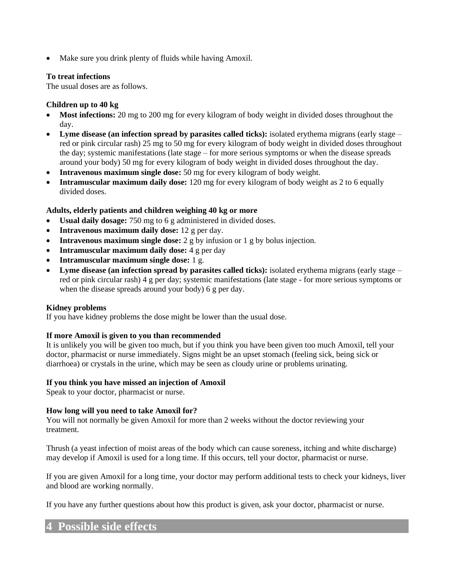• Make sure you drink plenty of fluids while having Amoxil.

#### **To treat infections**

The usual doses are as follows.

## **Children up to 40 kg**

- Most infections: 20 mg to 200 mg for every kilogram of body weight in divided doses throughout the day.
- **Lyme disease (an infection spread by parasites called ticks):** isolated erythema migrans (early stage red or pink circular rash) 25 mg to 50 mg for every kilogram of body weight in divided doses throughout the day; systemic manifestations (late stage – for more serious symptoms or when the disease spreads around your body) 50 mg for every kilogram of body weight in divided doses throughout the day.
- **Intravenous maximum single dose:** 50 mg for every kilogram of body weight.
- **Intramuscular maximum daily dose:** 120 mg for every kilogram of body weight as 2 to 6 equally divided doses.

## **Adults, elderly patients and children weighing 40 kg or more**

- **Usual daily dosage:** 750 mg to 6 g administered in divided doses.
- **Intravenous maximum daily dose:** 12 g per day.
- **Intravenous maximum single dose:** 2 g by infusion or 1 g by bolus injection.
- **Intramuscular maximum daily dose:** 4 g per day
- **Intramuscular maximum single dose:** 1 g.
- **Lyme disease (an infection spread by parasites called ticks):** isolated erythema migrans (early stage red or pink circular rash) 4 g per day; systemic manifestations (late stage - for more serious symptoms or when the disease spreads around your body) 6 g per day.

#### **Kidney problems**

If you have kidney problems the dose might be lower than the usual dose.

#### **If more Amoxil is given to you than recommended**

It is unlikely you will be given too much, but if you think you have been given too much Amoxil, tell your doctor, pharmacist or nurse immediately. Signs might be an upset stomach (feeling sick, being sick or diarrhoea) or crystals in the urine, which may be seen as cloudy urine or problems urinating.

#### **If you think you have missed an injection of Amoxil**

Speak to your doctor, pharmacist or nurse.

## **How long will you need to take Amoxil for?**

You will not normally be given Amoxil for more than 2 weeks without the doctor reviewing your treatment.

Thrush (a yeast infection of moist areas of the body which can cause soreness, itching and white discharge) may develop if Amoxil is used for a long time. If this occurs, tell your doctor, pharmacist or nurse.

If you are given Amoxil for a long time, your doctor may perform additional tests to check your kidneys, liver and blood are working normally.

If you have any further questions about how this product is given, ask your doctor, pharmacist or nurse.

## **4 Possible side effects**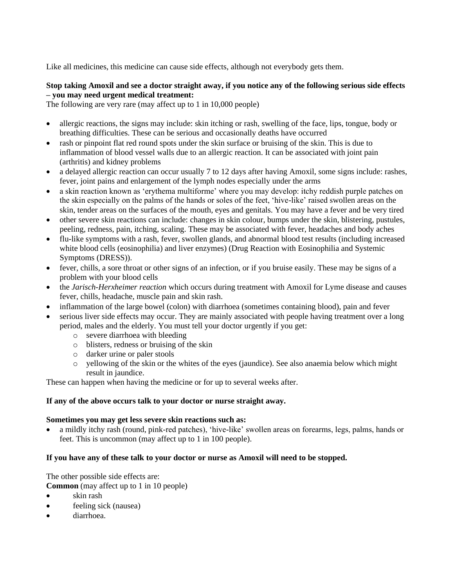Like all medicines, this medicine can cause side effects, although not everybody gets them.

## **Stop taking Amoxil and see a doctor straight away, if you notice any of the following serious side effects – you may need urgent medical treatment:**

The following are very rare (may affect up to 1 in 10,000 people)

- allergic reactions, the signs may include: skin itching or rash, swelling of the face, lips, tongue, body or breathing difficulties. These can be serious and occasionally deaths have occurred
- rash or pinpoint flat red round spots under the skin surface or bruising of the skin. This is due to inflammation of blood vessel walls due to an allergic reaction. It can be associated with joint pain (arthritis) and kidney problems
- a delayed allergic reaction can occur usually 7 to 12 days after having Amoxil, some signs include: rashes, fever, joint pains and enlargement of the lymph nodes especially under the arms
- a skin reaction known as 'erythema multiforme' where you may develop: itchy reddish purple patches on the skin especially on the palms of the hands or soles of the feet, 'hive-like' raised swollen areas on the skin, tender areas on the surfaces of the mouth, eyes and genitals. You may have a fever and be very tired
- other severe skin reactions can include: changes in skin colour, bumps under the skin, blistering, pustules, peeling, redness, pain, itching, scaling. These may be associated with fever, headaches and body aches
- flu-like symptoms with a rash, fever, swollen glands, and abnormal blood test results (including increased white blood cells (eosinophilia) and liver enzymes) (Drug Reaction with Eosinophilia and Systemic Symptoms (DRESS)).
- fever, chills, a sore throat or other signs of an infection, or if you bruise easily. These may be signs of a problem with your blood cells
- the *Jarisch-Herxheimer reaction* which occurs during treatment with Amoxil for Lyme disease and causes fever, chills, headache, muscle pain and skin rash.
- inflammation of the large bowel (colon) with diarrhoea (sometimes containing blood), pain and fever
- serious liver side effects may occur. They are mainly associated with people having treatment over a long period, males and the elderly. You must tell your doctor urgently if you get:
	- o severe diarrhoea with bleeding
	- o blisters, redness or bruising of the skin
	- o darker urine or paler stools
	- o yellowing of the skin or the whites of the eyes (jaundice). See also anaemia below which might result in jaundice.

These can happen when having the medicine or for up to several weeks after.

#### **If any of the above occurs talk to your doctor or nurse straight away.**

#### **Sometimes you may get less severe skin reactions such as:**

• a mildly itchy rash (round, pink-red patches), 'hive-like' swollen areas on forearms, legs, palms, hands or feet. This is uncommon (may affect up to 1 in 100 people).

#### **If you have any of these talk to your doctor or nurse as Amoxil will need to be stopped.**

The other possible side effects are:

- **Common** (may affect up to 1 in 10 people)
- skin rash
- feeling sick (nausea)
- diarrhoea.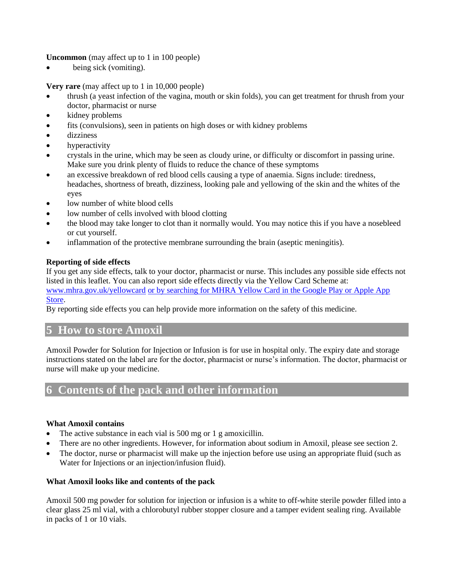**Uncommon** (may affect up to 1 in 100 people)

• being sick (vomiting).

**Very rare** (may affect up to 1 in 10,000 people)

- thrush (a yeast infection of the vagina, mouth or skin folds), you can get treatment for thrush from your doctor, pharmacist or nurse
- kidney problems
- fits (convulsions), seen in patients on high doses or with kidney problems
- dizziness
- hyperactivity
- crystals in the urine, which may be seen as cloudy urine, or difficulty or discomfort in passing urine. Make sure you drink plenty of fluids to reduce the chance of these symptoms
- an excessive breakdown of red blood cells causing a type of anaemia. Signs include: tiredness, headaches, shortness of breath, dizziness, looking pale and yellowing of the skin and the whites of the eyes
- low number of white blood cells
- low number of cells involved with blood clotting
- the blood may take longer to clot than it normally would. You may notice this if you have a nosebleed or cut yourself.
- inflammation of the protective membrane surrounding the brain (aseptic meningitis).

## **Reporting of side effects**

If you get any side effects, talk to your doctor, pharmacist or nurse. This includes any possible side effects not listed in this leaflet. You can also report side effects directly via the Yellow Card Scheme at: [www.mhra.gov.uk/yellowcard](http://www.mhra.gov.uk/yellowcard) or by searching for MHRA Yellow Card in the Google Play or Apple App

#### Store.

By reporting side effects you can help provide more information on the safety of this medicine.

## **5 How to store Amoxil**

Amoxil Powder for Solution for Injection or Infusion is for use in hospital only. The expiry date and storage instructions stated on the label are for the doctor, pharmacist or nurse's information. The doctor, pharmacist or nurse will make up your medicine.

## **6 Contents of the pack and other information**

## **What Amoxil contains**

- The active substance in each vial is 500 mg or 1 g amoxicillin.
- There are no other ingredients. However, for information about sodium in Amoxil, please see section 2.
- The doctor, nurse or pharmacist will make up the injection before use using an appropriate fluid (such as Water for Injections or an injection/infusion fluid).

#### **What Amoxil looks like and contents of the pack**

Amoxil 500 mg powder for solution for injection or infusion is a white to off-white sterile powder filled into a clear glass 25 ml vial, with a chlorobutyl rubber stopper closure and a tamper evident sealing ring. Available in packs of 1 or 10 vials.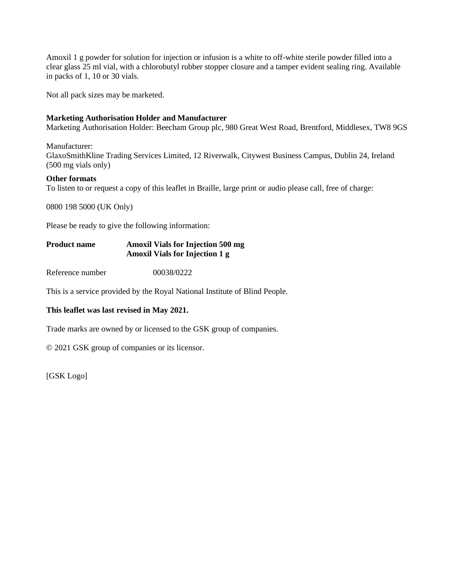Amoxil 1 g powder for solution for injection or infusion is a white to off-white sterile powder filled into a clear glass 25 ml vial, with a chlorobutyl rubber stopper closure and a tamper evident sealing ring. Available in packs of 1, 10 or 30 vials.

Not all pack sizes may be marketed.

## **Marketing Authorisation Holder and Manufacturer**

Marketing Authorisation Holder: Beecham Group plc, 980 Great West Road, Brentford, Middlesex, TW8 9GS

Manufacturer:

GlaxoSmithKline Trading Services Limited, 12 Riverwalk, Citywest Business Campus, Dublin 24, Ireland (500 mg vials only)

#### **Other formats**

To listen to or request a copy of this leaflet in Braille, large print or audio please call, free of charge:

0800 198 5000 (UK Only)

Please be ready to give the following information:

## **Product name Amoxil Vials for Injection 500 mg Amoxil Vials for Injection 1 g**

Reference number 00038/0222

This is a service provided by the Royal National Institute of Blind People.

## **This leaflet was last revised in May 2021.**

Trade marks are owned by or licensed to the GSK group of companies.

© 2021 GSK group of companies or its licensor.

[GSK Logo]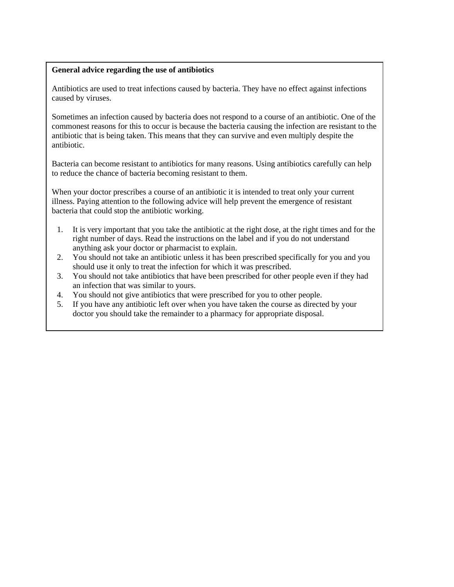#### **General advice regarding the use of antibiotics**

Antibiotics are used to treat infections caused by bacteria. They have no effect against infections caused by viruses.

Sometimes an infection caused by bacteria does not respond to a course of an antibiotic. One of the commonest reasons for this to occur is because the bacteria causing the infection are resistant to the antibiotic that is being taken. This means that they can survive and even multiply despite the antibiotic.

Bacteria can become resistant to antibiotics for many reasons. Using antibiotics carefully can help to reduce the chance of bacteria becoming resistant to them.

When your doctor prescribes a course of an antibiotic it is intended to treat only your current illness. Paying attention to the following advice will help prevent the emergence of resistant bacteria that could stop the antibiotic working.

- 1. It is very important that you take the antibiotic at the right dose, at the right times and for the right number of days. Read the instructions on the label and if you do not understand anything ask your doctor or pharmacist to explain.
- 2. You should not take an antibiotic unless it has been prescribed specifically for you and you should use it only to treat the infection for which it was prescribed.
- 3. You should not take antibiotics that have been prescribed for other people even if they had an infection that was similar to yours.
- 4. You should not give antibiotics that were prescribed for you to other people.
- 5. If you have any antibiotic left over when you have taken the course as directed by your doctor you should take the remainder to a pharmacy for appropriate disposal.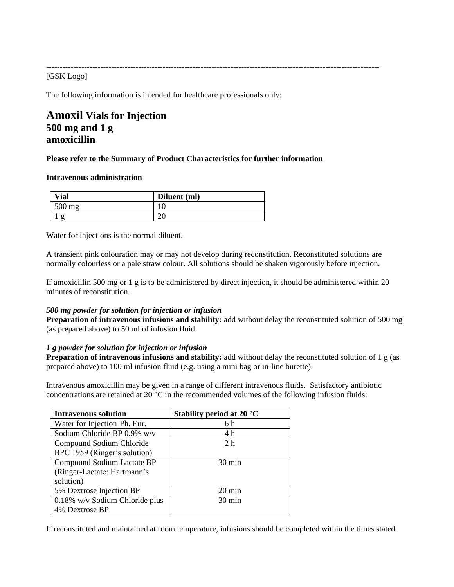--------------------------------------------------------------------------------------------------------------------------- [GSK Logo]

The following information is intended for healthcare professionals only:

# **Amoxil Vials for Injection 500 mg and 1 g amoxicillin**

#### **Please refer to the Summary of Product Characteristics for further information**

#### **Intravenous administration**

| $V$ ial  | Diluent (ml)    |
|----------|-----------------|
| $500$ mg |                 |
|          | $\bigcap$<br>۷J |

Water for injections is the normal diluent.

A transient pink colouration may or may not develop during reconstitution. Reconstituted solutions are normally colourless or a pale straw colour. All solutions should be shaken vigorously before injection.

If amoxicillin 500 mg or 1 g is to be administered by direct injection, it should be administered within 20 minutes of reconstitution.

#### *500 mg powder for solution for injection or infusion*

**Preparation of intravenous infusions and stability:** add without delay the reconstituted solution of 500 mg (as prepared above) to 50 ml of infusion fluid.

#### *1 g powder for solution for injection or infusion*

**Preparation of intravenous infusions and stability:** add without delay the reconstituted solution of 1 g (as prepared above) to 100 ml infusion fluid (e.g. using a mini bag or in-line burette).

Intravenous amoxicillin may be given in a range of different intravenous fluids. Satisfactory antibiotic concentrations are retained at 20  $^{\circ}$ C in the recommended volumes of the following infusion fluids:

| <b>Intravenous solution</b>    | Stability period at 20 $^{\circ}$ C |
|--------------------------------|-------------------------------------|
| Water for Injection Ph. Eur.   | 6 h                                 |
| Sodium Chloride BP 0.9% w/v    | 4 h                                 |
| Compound Sodium Chloride       | 2 <sub>h</sub>                      |
| BPC 1959 (Ringer's solution)   |                                     |
| Compound Sodium Lactate BP     | $30 \text{ min}$                    |
| (Ringer-Lactate: Hartmann's    |                                     |
| solution)                      |                                     |
| 5% Dextrose Injection BP       | $20 \text{ min}$                    |
| 0.18% w/v Sodium Chloride plus | $30 \text{ min}$                    |
| 4% Dextrose BP                 |                                     |

If reconstituted and maintained at room temperature, infusions should be completed within the times stated.